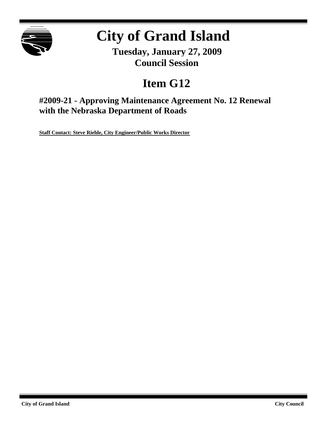

# **City of Grand Island**

**Tuesday, January 27, 2009 Council Session**

# **Item G12**

## **#2009-21 - Approving Maintenance Agreement No. 12 Renewal with the Nebraska Department of Roads**

**Staff Contact: Steve Riehle, City Engineer/Public Works Director**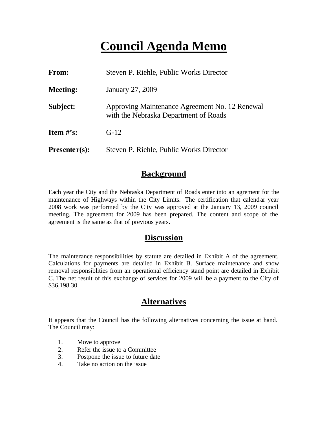# **Council Agenda Memo**

| From:           | Steven P. Riehle, Public Works Director                                                 |
|-----------------|-----------------------------------------------------------------------------------------|
| <b>Meeting:</b> | January 27, 2009                                                                        |
| Subject:        | Approving Maintenance Agreement No. 12 Renewal<br>with the Nebraska Department of Roads |
| Item $#$ 's:    | $G-12$                                                                                  |
| $Presenter(s):$ | Steven P. Riehle, Public Works Director                                                 |

## **Background**

Each year the City and the Nebraska Department of Roads enter into an agrement for the maintenance of Highways within the City Limits. The certification that calendar year 2008 work was performed by the City was approved at the January 13, 2009 council meeting. The agreement for 2009 has been prepared. The content and scope of the agreement is the same as that of previous years.

## **Discussion**

The maintenance responsibilities by statute are detailed in Exhibit A of the agreement. Calculations for payments are detailed in Exhibit B. Surface maintenance and snow removal responsiblities from an operational efficiency stand point are detailed in Exhibit C. The net result of this exchange of services for 2009 will be a payment to the City of \$36,198.30.

## **Alternatives**

It appears that the Council has the following alternatives concerning the issue at hand. The Council may:

- 1. Move to approve
- 2. Refer the issue to a Committee
- 3. Postpone the issue to future date
- 4. Take no action on the issue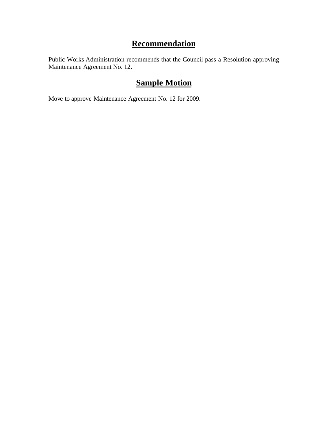## **Recommendation**

Public Works Administration recommends that the Council pass a Resolution approving Maintenance Agreement No. 12.

## **Sample Motion**

Move to approve Maintenance Agreement No. 12 for 2009.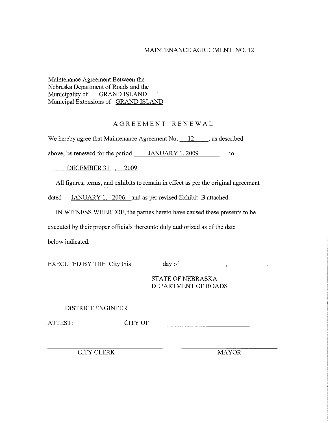### MAINTENANCE AGREEMENT NO. 12

#### Maintenance Agreement Between the Nebraska Department of Roads and the Municipality of **GRAND ISLAND** Municipal Extensions of GRAND ISLAND

### AGREEMENT RENEWAL

We hereby agree that Maintenance Agreement No.  $\frac{12}{12}$ , as described

above, be renewed for the period JANUARY 1, 2009 to

DECEMBER 31, 2009

All figures, terms, and exhibits to remain in effect as per the original agreement

JANUARY 1, 2006. and as per revised Exhibit B attached. dated

IN WITNESS WHEREOF, the parties hereto have caused these presents to be

executed by their proper officials thereunto duly authorized as of the date

below indicated.

**STATE OF NEBRASKA** DEPARTMENT OF ROADS

DISTRICT ENGINEER

CITY OF ATTEST:

**CITY CLERK** 

**MAYOR**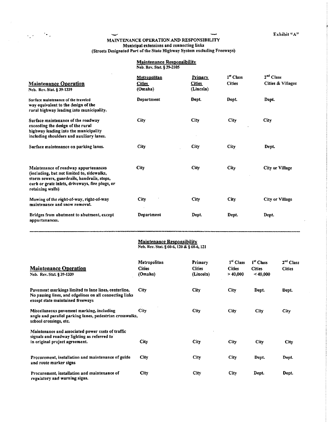Exhibit  ${}^{\mu}A^{\nu}$ 

 $\bar{\mathcal{L}}$ 

## MAINTENANCE OPERATION AND RESPONSIBILITY Municipal extensions and connecting links<br>(Streets Designated Part of the State Highway System excluding Freeways)

## **Maintenance Responsibility**<br>Neb. Rev. Stat. § 39-2105

| <b>Maintenance Operation</b><br>Neb. Rev. Stat. § 39-1339                                                                                                                                                | Metropolitan<br><b>Cities</b><br>(Omaha) | <b>Primary</b><br><b>Cities</b><br>(Lincoln) | 1 <sup>st</sup> Class<br><b>Cities</b> | 2 <sup>nd</sup> Class<br>Cities & Villages |
|----------------------------------------------------------------------------------------------------------------------------------------------------------------------------------------------------------|------------------------------------------|----------------------------------------------|----------------------------------------|--------------------------------------------|
| Surface maintenance of the traveled<br>way equivalent to the design of the<br>rural highway leading into municipality.                                                                                   | Department                               | Dept.                                        | Dept.                                  | Dept.                                      |
| Surface maintenance of the roadway<br>exceeding the design of the rural<br>highway leading into the municipality<br>including shoulders and auxiliary lanes.                                             | City                                     | City                                         | City                                   | <b>City</b>                                |
| Surface maintenance on parking lanes.                                                                                                                                                                    | <b>City</b>                              | <b>City</b>                                  | City                                   | Dept.                                      |
| Maintenance of roadway appurtenances<br>(including, but not limited to, sidewalks,<br>storm sewers, guardrails, handrails, steps,<br>curb or grate inlets, driveways, fire plugs, or<br>retaining walls) | City                                     | City                                         | City                                   | <b>City or Village</b>                     |
| Mowing of the right-of-way, right-of-way<br>maintenance and snow removal.                                                                                                                                | City                                     | City                                         | City                                   | City or Village                            |
| Bridges from abutment to abutment, except<br>appurtenances.                                                                                                                                              | Department                               | Dept.                                        | Dept.                                  | Dept.                                      |

## Maintenance Responsibility<br>Neb. Rev. Stat. § 60-6, 120 & § 60-6, 121

| <b>Maintenance Operation</b>                                                                                                                        | Metropolitan<br><b>Cities</b> | Primary<br><b>Cities</b> | 1" Class<br><b>Cities</b> | 1 <sup>st</sup> Class<br><b>Cities</b> | 2 <sup>nd</sup> Class<br><b>Cities</b> |
|-----------------------------------------------------------------------------------------------------------------------------------------------------|-------------------------------|--------------------------|---------------------------|----------------------------------------|----------------------------------------|
| Neb. Rev. Stat. § 39-1339                                                                                                                           | (Omaha)                       | (Lincoln)                | > 40,000                  | ~10,000                                |                                        |
| Pavement markings limited to lane lines, centerline,<br>No passing lines, and edgelines on all connecting links<br>except state maintained freeways | City                          | City                     | City                      | Dept.                                  | Dept.                                  |
| Miscellaneous pavement marking, including<br>angle and parallel parking lanes, pedestrian crosswalks,<br>school crossings, etc.                     | <b>City</b>                   | City                     | City                      | City                                   | <b>City</b>                            |
| Maintenance and associated power costs of traffic<br>signals and roadway lighting as referred to<br>in original project agreement.                  | City                          | City                     | City                      | City                                   | City                                   |
| Procurement, installation and maintenance of guide<br>and route marker signs                                                                        | City                          | City                     | City                      | Dept.                                  | Dept.                                  |
| Procurement, installation and maintenance of<br>regulatory and warning signs.                                                                       | City                          | City                     | City                      | Dept.                                  | Dept.                                  |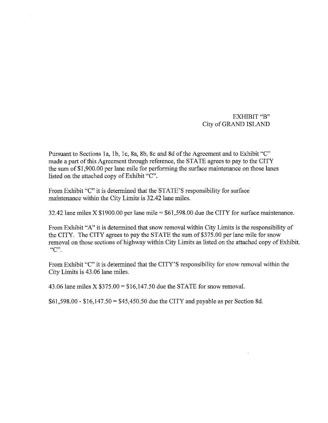## EXHIBIT "B" City of GRAND ISLAND

Pursuant to Sections 1a, 1b, 1c, 8a, 8b, 8c and 8d of the Agreement and to Exhibit "C" made a part of this Agreement through reference, the STATE agrees to pay to the CITY the sum of \$1,900.00 per lane mile for performing the surface maintenance on those lanes listed on the attached copy of Exhibit "C".

From Exhibit "C" it is determined that the STATE'S responsibility for surface maintenance within the City Limits is 32.42 lane miles.

 $\sim$   $\sim$ 

32.42 lane miles X \$1900.00 per lane mile =  $$61,598.00$  due the CITY for surface maintenance.

From Exhibit "A" it is determined that snow removal within City Limits is the responsibility of the CITY. The CITY agrees to pay the STATE the sum of \$375.00 per lane mile for snow removal on those sections of highway within City Limits as listed on the attached copy of Exhibit.  $C$ .

From Exhibit "C" it is determined that the CITY'S responsibility for snow removal within the City Limits is 43.06 lane miles.

43.06 lane miles  $X$  \$375.00 = \$16,147.50 due the STATE for snow removal.

 $$61,598.00 - $16,147.50 = $45,450.50$  due the CITY and payable as per Section 8d.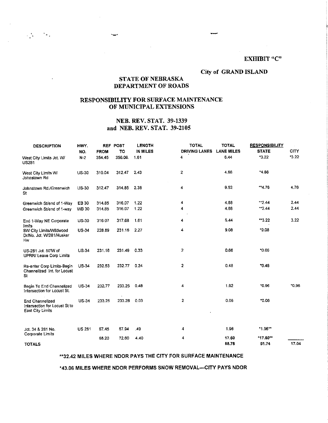#### **EXHIBIT "C"**

#### City of GRAND ISLAND

### **STATE OF NEBRASKA** DEPARTMENT OF ROADS

### RESPONSIBILITY FOR SURFACE MAINTENANCE OF MUNICIPAL EXTENSIONS

### **NEB. REV. STAT. 39-1339** and NEB. REV. STAT. 39-2105

| <b>DESCRIPTION</b>                                                          | HWY.<br>NO.   | <b>FROM</b> | <b>REF POST</b><br>TO | <b>LENGTH</b><br>IN MILES | <b>TOTAL</b><br><b>DRIVING LANES</b> | <b>TOTAL</b><br><b>LANE MILES</b> | <b>RESPONSIBILITY</b><br><b>STATE</b> | <b>CITY</b> |
|-----------------------------------------------------------------------------|---------------|-------------|-----------------------|---------------------------|--------------------------------------|-----------------------------------|---------------------------------------|-------------|
| West City Limits Jct. W/<br>US281                                           | $N-2$         | 354,45      | 356.06.               | 1.61                      | 4                                    | 6.44                              | 3.22                                  | $-3.22$     |
| West City Limits W/<br>Johnstown Rd                                         | $US-30$       | 310.04      | 312.47                | 2.43                      | 2                                    | 4.86                              | $*4.86$                               |             |
| Johnstown Rd./Greenwich<br>St                                               | <b>US-30</b>  | 312.47      | 314.85                | 2.38                      | 4                                    | 9.52                              | $*4.76$                               | 4.76        |
| Greenwich St/end of 1-Way                                                   | EB 30         | 314.85      | 316.07                | 1.22                      | 4                                    | 488                               | $-2.44$                               | 2.44        |
| Greenwich St/end of 1-way                                                   | <b>WB 30</b>  | 314.85      | 316.07                | 1.22                      | 4                                    | 4.88                              | $-2.44$                               | 2.44        |
| End 1-Way NE Corporate<br>limits                                            | $US-30$       | 316.07      | 317.68                | 1.61                      | 4                                    | 6.44                              | **3.22                                | 3.22        |
| SW City Limits/Wildwood<br>Dr/No. Jct. W/281/Husker<br>Hw                   | <b>US-34</b>  | 228.89      | 231.16                | - 2.27                    | 4                                    | 9.08                              | $*9.08$                               |             |
| US-281 Jct. 50 W of<br>UPRR/ Leave Corp Limits                              | <b>US-34</b>  | 231.16      | 231.49                | 0.33                      | 2                                    | 0.66                              | 0.66                                  |             |
| Re-enter Corp Limits-Begin<br>Channelized Int. for Locust<br>St             | $US-34$       | 232.53      | 232.77                | 0.24                      | 2                                    | 0.48                              | 70.48                                 |             |
| Begin To End Channelized<br>Intersection for Locust St.                     | <b>US-34</b>  | 232.77      | 233.25                | 0.48                      | 4                                    | 1.92                              | 0.96                                  | $*0.96$     |
| <b>End Channelized</b><br>Intersection for Locust St to<br>East City Limits | <b>US-34</b>  | 233.25      | 233 28                | 0.03                      | $\overline{\mathbf{c}}$              | 0.06                              | 0.06                                  |             |
| Jct. 34 & 281 No.                                                           | <b>US 281</b> | 67,45       | 67.94                 | .49                       | 4                                    | 1.96                              | *1.96**                               |             |
| Corporate Limits                                                            |               | 68.20       | 72.60                 | 4,40                      | 4                                    | 17.60                             | *17.60**                              |             |
| <b>TOTALS</b>                                                               |               |             |                       |                           |                                      | 68.78                             | 51.74                                 | 17.04       |

#### \*\*32.42 MILES WHERE NDOR PAYS THE CITY FOR SURFACE MAINTENANCE

\*43.06 MILES WHERE NDOR PERFORMS SNOW REMOVAL-CITY PAYS NDOR